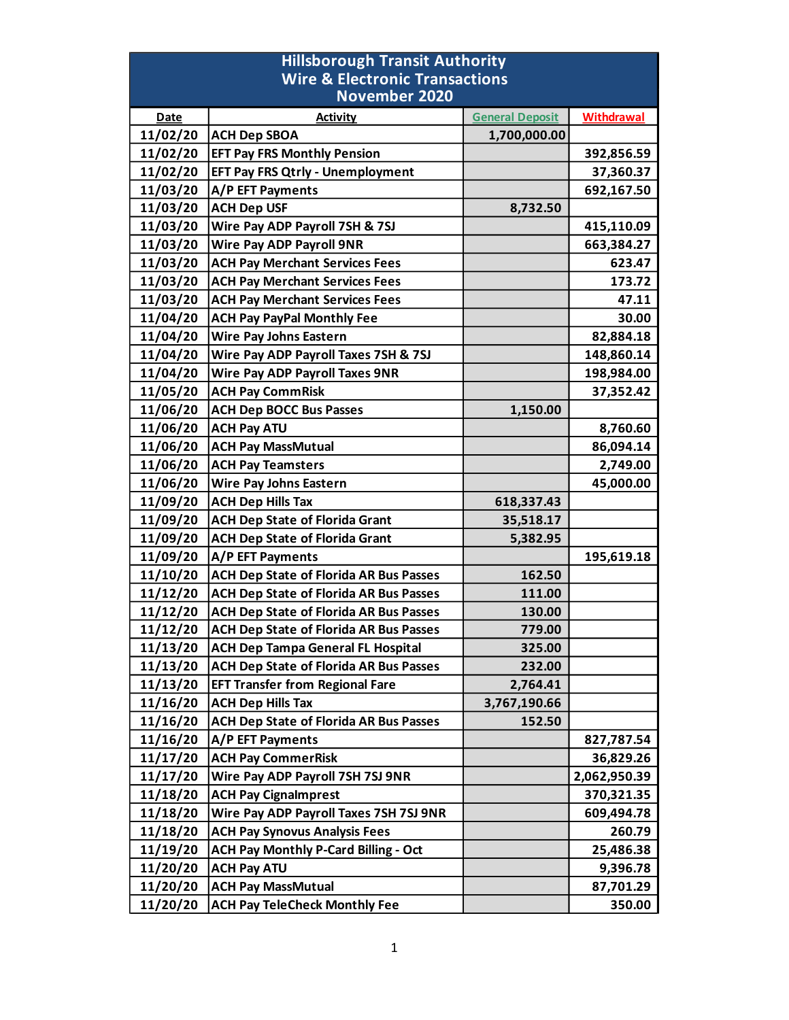| <b>Hillsborough Transit Authority</b><br><b>Wire &amp; Electronic Transactions</b> |                                               |                        |                   |  |
|------------------------------------------------------------------------------------|-----------------------------------------------|------------------------|-------------------|--|
| <b>November 2020</b>                                                               |                                               |                        |                   |  |
| <b>Date</b>                                                                        | <b>Activity</b>                               | <b>General Deposit</b> | <b>Withdrawal</b> |  |
| 11/02/20                                                                           | <b>ACH Dep SBOA</b>                           | 1,700,000.00           |                   |  |
| 11/02/20                                                                           | <b>EFT Pay FRS Monthly Pension</b>            |                        | 392,856.59        |  |
| 11/02/20                                                                           | <b>EFT Pay FRS Qtrly - Unemployment</b>       |                        | 37,360.37         |  |
| 11/03/20                                                                           | A/P EFT Payments                              |                        | 692,167.50        |  |
| 11/03/20                                                                           | <b>ACH Dep USF</b>                            | 8,732.50               |                   |  |
| 11/03/20                                                                           | Wire Pay ADP Payroll 7SH & 7SJ                |                        | 415,110.09        |  |
| 11/03/20                                                                           | <b>Wire Pay ADP Payroll 9NR</b>               |                        | 663,384.27        |  |
| 11/03/20                                                                           | <b>ACH Pay Merchant Services Fees</b>         |                        | 623.47            |  |
| 11/03/20                                                                           | <b>ACH Pay Merchant Services Fees</b>         |                        | 173.72            |  |
| 11/03/20                                                                           | <b>ACH Pay Merchant Services Fees</b>         |                        | 47.11             |  |
| 11/04/20                                                                           | <b>ACH Pay PayPal Monthly Fee</b>             |                        | 30.00             |  |
| 11/04/20                                                                           | <b>Wire Pay Johns Eastern</b>                 |                        | 82,884.18         |  |
| 11/04/20                                                                           | Wire Pay ADP Payroll Taxes 7SH & 7SJ          |                        | 148,860.14        |  |
| 11/04/20                                                                           | <b>Wire Pay ADP Payroll Taxes 9NR</b>         |                        | 198,984.00        |  |
| 11/05/20                                                                           | <b>ACH Pay CommRisk</b>                       |                        | 37,352.42         |  |
| 11/06/20                                                                           | <b>ACH Dep BOCC Bus Passes</b>                | 1,150.00               |                   |  |
| 11/06/20                                                                           | <b>ACH Pay ATU</b>                            |                        | 8,760.60          |  |
| 11/06/20                                                                           | <b>ACH Pay MassMutual</b>                     |                        | 86,094.14         |  |
| 11/06/20                                                                           | <b>ACH Pay Teamsters</b>                      |                        | 2,749.00          |  |
| 11/06/20                                                                           | <b>Wire Pay Johns Eastern</b>                 |                        | 45,000.00         |  |
| 11/09/20                                                                           | <b>ACH Dep Hills Tax</b>                      | 618,337.43             |                   |  |
| 11/09/20                                                                           | <b>ACH Dep State of Florida Grant</b>         | 35,518.17              |                   |  |
| 11/09/20                                                                           | <b>ACH Dep State of Florida Grant</b>         | 5,382.95               |                   |  |
| 11/09/20                                                                           | <b>A/P EFT Payments</b>                       |                        | 195,619.18        |  |
| 11/10/20                                                                           | <b>ACH Dep State of Florida AR Bus Passes</b> | 162.50                 |                   |  |
| 11/12/20                                                                           | <b>ACH Dep State of Florida AR Bus Passes</b> | 111.00                 |                   |  |
| 11/12/20                                                                           | <b>ACH Dep State of Florida AR Bus Passes</b> | 130.00                 |                   |  |
| 11/12/20                                                                           | <b>ACH Dep State of Florida AR Bus Passes</b> | 779.00                 |                   |  |
| 11/13/20                                                                           | <b>ACH Dep Tampa General FL Hospital</b>      | 325.00                 |                   |  |
| 11/13/20                                                                           | ACH Dep State of Florida AR Bus Passes        | 232.00                 |                   |  |
| 11/13/20                                                                           | <b>EFT Transfer from Regional Fare</b>        | 2,764.41               |                   |  |
| 11/16/20                                                                           | <b>ACH Dep Hills Tax</b>                      | 3,767,190.66           |                   |  |
| 11/16/20                                                                           | <b>ACH Dep State of Florida AR Bus Passes</b> | 152.50                 |                   |  |
| 11/16/20                                                                           | A/P EFT Payments                              |                        | 827,787.54        |  |
| 11/17/20                                                                           | <b>ACH Pay CommerRisk</b>                     |                        | 36,829.26         |  |
| 11/17/20                                                                           | Wire Pay ADP Payroll 7SH 7SJ 9NR              |                        | 2,062,950.39      |  |
| 11/18/20                                                                           | <b>ACH Pay Cignalmprest</b>                   |                        | 370,321.35        |  |
| 11/18/20                                                                           | Wire Pay ADP Payroll Taxes 7SH 7SJ 9NR        |                        | 609,494.78        |  |
| 11/18/20                                                                           | <b>ACH Pay Synovus Analysis Fees</b>          |                        | 260.79            |  |
| 11/19/20                                                                           | <b>ACH Pay Monthly P-Card Billing - Oct</b>   |                        | 25,486.38         |  |
| 11/20/20                                                                           | <b>ACH Pay ATU</b>                            |                        | 9,396.78          |  |
| 11/20/20                                                                           | <b>ACH Pay MassMutual</b>                     |                        | 87,701.29         |  |
| 11/20/20                                                                           | <b>ACH Pay TeleCheck Monthly Fee</b>          |                        | 350.00            |  |